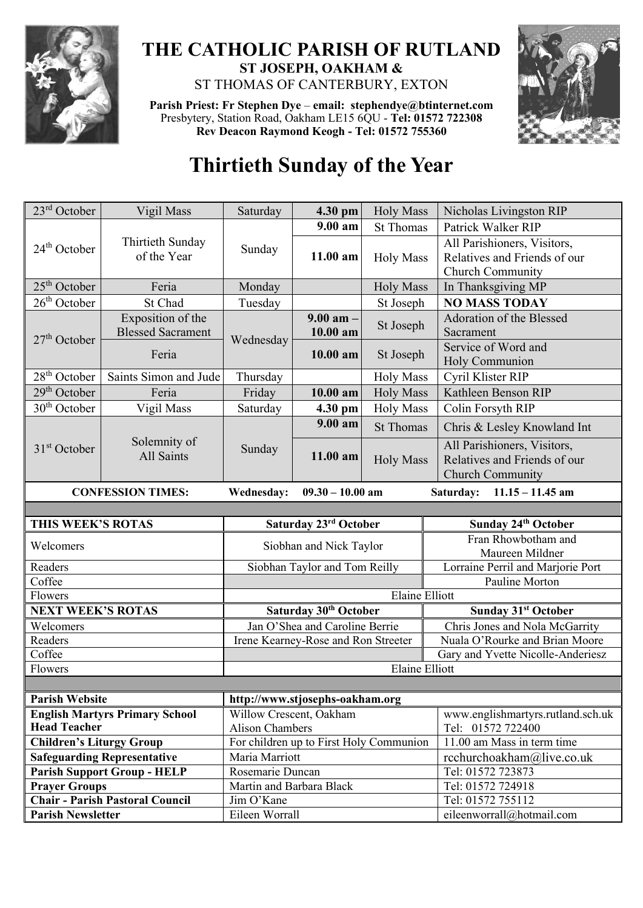

## **THE CATHOLIC PARISH OF RUTLAND ST JOSEPH, OAKHAM &**  ST THOMAS OF CANTERBURY, EXTON

**Parish Priest: Fr Stephen Dye** – **[email: stephendye@btinternet.com](mailto:email:%20%20stephendye@btinternet.com)** Presbytery, Station Road, Oakham LE15 6QU - **Tel: 01572 722308 Rev Deacon Raymond Keogh - Tel: 01572 755360**



## **Thirtieth Sunday of the Year**

| 23 <sup>rd</sup> October                                                                        | Vigil Mass                                    | Saturday               | 4.30 pm                                 | <b>Holy Mass</b>      | Nicholas Livingston RIP                                                         |  |  |
|-------------------------------------------------------------------------------------------------|-----------------------------------------------|------------------------|-----------------------------------------|-----------------------|---------------------------------------------------------------------------------|--|--|
|                                                                                                 | Thirtieth Sunday<br>of the Year               | Sunday                 | $9.00 a$ m                              | <b>St Thomas</b>      | Patrick Walker RIP                                                              |  |  |
| $24th$ October                                                                                  |                                               |                        | $11.00$ am                              | <b>Holy Mass</b>      | All Parishioners, Visitors,<br>Relatives and Friends of our<br>Church Community |  |  |
| $25th$ October                                                                                  | Feria                                         | Monday                 |                                         | <b>Holy Mass</b>      | In Thanksgiving MP                                                              |  |  |
| $26th$ October                                                                                  | St Chad                                       | Tuesday                |                                         | St Joseph             | <b>NO MASS TODAY</b>                                                            |  |  |
| $27th$ October                                                                                  | Exposition of the<br><b>Blessed Sacrament</b> | Wednesday              | $9.00$ am $-$<br>10.00 am               | St Joseph             | Adoration of the Blessed<br>Sacrament                                           |  |  |
|                                                                                                 | Feria                                         |                        | 10.00 am                                | St Joseph             | Service of Word and<br>Holy Communion                                           |  |  |
| $28th$ October                                                                                  | Saints Simon and Jude                         | Thursday               |                                         | <b>Holy Mass</b>      | Cyril Klister RIP                                                               |  |  |
| 29 <sup>th</sup> October                                                                        | Feria                                         | Friday                 | $10.00$ am                              | <b>Holy Mass</b>      | Kathleen Benson RIP                                                             |  |  |
| 30 <sup>th</sup> October                                                                        | Vigil Mass                                    | Saturday               | 4.30 pm                                 | <b>Holy Mass</b>      | Colin Forsyth RIP                                                               |  |  |
| $31st$ October                                                                                  | Solemnity of<br>All Saints                    | Sunday                 | 9.00 am                                 | <b>St Thomas</b>      | Chris & Lesley Knowland Int                                                     |  |  |
|                                                                                                 |                                               |                        | 11.00 am                                | <b>Holy Mass</b>      | All Parishioners, Visitors,<br>Relatives and Friends of our<br>Church Community |  |  |
| Wednesday:<br>$09.30 - 10.00$ am<br>$11.15 - 11.45$ am<br><b>CONFESSION TIMES:</b><br>Saturday: |                                               |                        |                                         |                       |                                                                                 |  |  |
|                                                                                                 |                                               |                        |                                         |                       |                                                                                 |  |  |
|                                                                                                 |                                               |                        |                                         |                       |                                                                                 |  |  |
| THIS WEEK'S ROTAS                                                                               |                                               |                        | Saturday 23rd October                   |                       | Sunday 24th October                                                             |  |  |
| Welcomers                                                                                       |                                               |                        | Siobhan and Nick Taylor                 |                       | Fran Rhowbotham and<br>Maureen Mildner                                          |  |  |
| Readers                                                                                         |                                               |                        | Siobhan Taylor and Tom Reilly           |                       | Lorraine Perril and Marjorie Port                                               |  |  |
| Coffee                                                                                          |                                               |                        |                                         |                       | Pauline Morton                                                                  |  |  |
| Flowers                                                                                         |                                               |                        |                                         | Elaine Elliott        |                                                                                 |  |  |
| <b>NEXT WEEK'S ROTAS</b>                                                                        |                                               |                        | Saturday 30th October                   |                       | <b>Sunday 31st October</b>                                                      |  |  |
| Welcomers                                                                                       |                                               |                        | Jan O'Shea and Caroline Berrie          |                       | Chris Jones and Nola McGarrity                                                  |  |  |
| Readers                                                                                         |                                               |                        | Irene Kearney-Rose and Ron Streeter     |                       | Nuala O'Rourke and Brian Moore                                                  |  |  |
| Coffee                                                                                          |                                               |                        |                                         |                       | Gary and Yvette Nicolle-Anderiesz                                               |  |  |
| Flowers                                                                                         |                                               |                        |                                         | <b>Elaine Elliott</b> |                                                                                 |  |  |
|                                                                                                 |                                               |                        |                                         |                       |                                                                                 |  |  |
| <b>Parish Website</b>                                                                           |                                               |                        | http://www.stjosephs-oakham.org         |                       |                                                                                 |  |  |
| <b>Head Teacher</b>                                                                             | <b>English Martyrs Primary School</b>         |                        | Willow Crescent, Oakham                 |                       | www.englishmartyrs.rutland.sch.uk                                               |  |  |
| <b>Children's Liturgy Group</b>                                                                 |                                               | <b>Alison Chambers</b> |                                         |                       | Tel: 01572 722400<br>11.00 am Mass in term time                                 |  |  |
|                                                                                                 | <b>Safeguarding Representative</b>            | Maria Marriott         | For children up to First Holy Communion |                       | rcchurchoakham@live.co.uk                                                       |  |  |

**Prayer Groups** Martin and Barbara Black Tel: 01572 724918 **Chair - Parish Pastoral Council** Jim O'Kane Tel: 01572 755112

**Parish Newsletter** Eileen Worrall Eileen Worrall [eileenworrall@hotmail.com](mailto:eileenworrall@hotmail.com)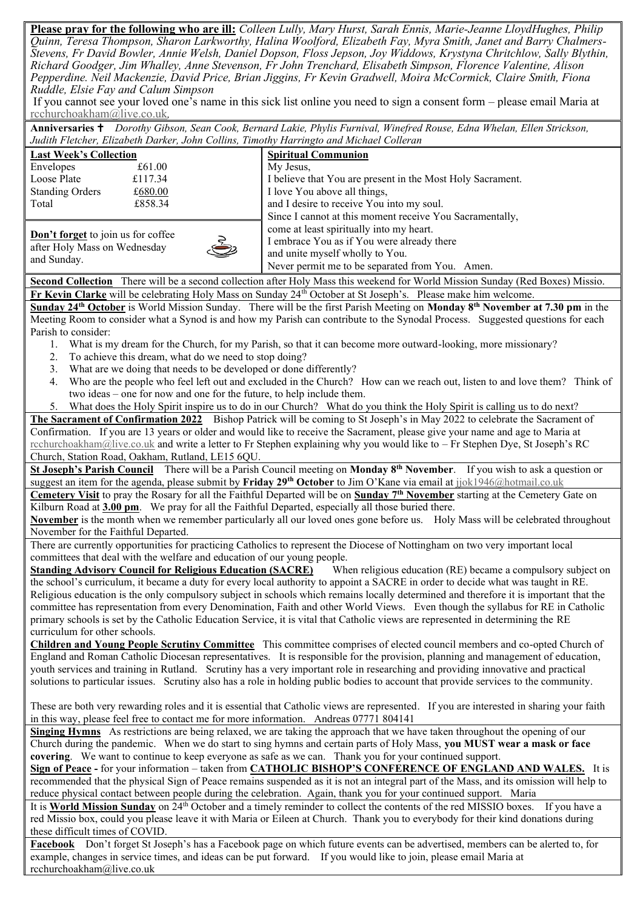**Please pray for the following who are ill:** *Colleen Lully, Mary Hurst, Sarah Ennis, Marie-Jeanne LloydHughes, Philip Quinn, Teresa Thompson, Sharon Larkworthy, Halina Woolford, Elizabeth Fay, Myra Smith, Janet and Barry Chalmers-Stevens, Fr David Bowler, Annie Welsh, Daniel Dopson, Floss Jepson, Joy Widdows, Krystyna Chritchlow, Sally Blythin, Richard Goodger, Jim Whalley, Anne Stevenson, Fr John Trenchard, Elisabeth Simpson, Florence Valentine, Alison Pepperdine. Neil Mackenzie, David Price, Brian Jiggins, Fr Kevin Gradwell, Moira McCormick, Claire Smith, Fiona Ruddle, Elsie Fay and Calum Simpson*

If you cannot see your loved one's name in this sick list online you need to sign a consent form – please email Maria at [rcchurchoakham@live.co.uk](mailto:rcchurchoakham@live.co.uk)*,*

**Anniversaries**  *Dorothy Gibson, Sean Cook, Bernard Lakie, Phylis Furnival, Winefred Rouse, Edna Whelan, Ellen Strickson, Judith Fletcher, Elizabeth Darker, John Collins, Timothy Harringto and Michael Colleran*

| <b>Last Week's Collection</b>                                                               |         |  | <b>Spiritual Communion</b>                                                                                                                                                   |  |  |
|---------------------------------------------------------------------------------------------|---------|--|------------------------------------------------------------------------------------------------------------------------------------------------------------------------------|--|--|
| Envelopes                                                                                   | £61.00  |  | My Jesus,                                                                                                                                                                    |  |  |
| Loose Plate                                                                                 | £117.34 |  | I believe that You are present in the Most Holy Sacrament.                                                                                                                   |  |  |
| <b>Standing Orders</b>                                                                      | £680.00 |  | I love You above all things,                                                                                                                                                 |  |  |
| Total                                                                                       | £858.34 |  | and I desire to receive You into my soul.                                                                                                                                    |  |  |
|                                                                                             |         |  | Since I cannot at this moment receive You Sacramentally,                                                                                                                     |  |  |
| Don't forget to join us for coffee<br>5<br>after Holy Mass on Wednesday<br>Ţ<br>and Sunday. |         |  | come at least spiritually into my heart.<br>I embrace You as if You were already there<br>and unite myself wholly to You.<br>Never permit me to be separated from You. Amen. |  |  |

**Second Collection** There will be a second collection after Holy Mass this weekend for World Mission Sunday (Red Boxes) Missio. **Fr Kevin Clarke** will be celebrating Holy Mass on Sunday 24<sup>th</sup> October at St Joseph's. Please make him welcome.

**Sunday 24th October** is World Mission Sunday. There will be the first Parish Meeting on **Monday 8th November at 7.30 pm** in the Meeting Room to consider what a Synod is and how my Parish can contribute to the Synodal Process. Suggested questions for each Parish to consider:

- 1. What is my dream for the Church, for my Parish, so that it can become more outward-looking, more missionary?
- 2. To achieve this dream, what do we need to stop doing?
- 3. What are we doing that needs to be developed or done differently?
- 4. Who are the people who feel left out and excluded in the Church? How can we reach out, listen to and love them? Think of two ideas – one for now and one for the future, to help include them.
- 5. What does the Holy Spirit inspire us to do in our Church? What do you think the Holy Spirit is calling us to do next?

**The Sacrament of Confirmation 2022** Bishop Patrick will be coming to St Joseph's in May 2022 to celebrate the Sacrament of Confirmation. If you are 13 years or older and would like to receive the Sacrament, please give your name and age to Maria at [rcchurchoakham@live.co.uk](mailto:rcchurchoakham@live.co.uk) and write a letter to Fr Stephen explaining why you would like to – Fr Stephen Dye, St Joseph's RC Church, Station Road, Oakham, Rutland, LE15 6QU.

**St Joseph's Parish Council** There will be a Parish Council meeting on **Monday 8th November**. If you wish to ask a question or suggest an item for the agenda, please submit by **Friday 29th October** to Jim O'Kane via email at [jjok1946@hotmail.co.uk](mailto:jjok1946@hotmail.co.uk)

**Cemetery Visit** to pray the Rosary for all the Faithful Departed will be on **Sunday 7th November** starting at the Cemetery Gate on Kilburn Road at **3.00 pm**. We pray for all the Faithful Departed, especially all those buried there.

**November** is the month when we remember particularly all our loved ones gone before us. Holy Mass will be celebrated throughout November for the Faithful Departed.

There are currently opportunities for practicing Catholics to represent the Diocese of Nottingham on two very important local committees that deal with the welfare and education of our young people.

**Standing Advisory Council for Religious Education (SACRE)** When religious education (RE) became a compulsory subject on the school's curriculum, it became a duty for every local authority to appoint a SACRE in order to decide what was taught in RE. Religious education is the only compulsory subject in schools which remains locally determined and therefore it is important that the committee has representation from every Denomination, Faith and other World Views. Even though the syllabus for RE in Catholic primary schools is set by the Catholic Education Service, it is vital that Catholic views are represented in determining the RE curriculum for other schools.

**Children and Young People Scrutiny Committee** This committee comprises of elected council members and co-opted Church of England and Roman Catholic Diocesan representatives. It is responsible for the provision, planning and management of education, youth services and training in Rutland. Scrutiny has a very important role in researching and providing innovative and practical solutions to particular issues. Scrutiny also has a role in holding public bodies to account that provide services to the community.

These are both very rewarding roles and it is essential that Catholic views are represented. If you are interested in sharing your faith in this way, please feel free to contact me for more information. Andreas 07771 804141

**Singing Hymns** As restrictions are being relaxed, we are taking the approach that we have taken throughout the opening of our Church during the pandemic. When we do start to sing hymns and certain parts of Holy Mass, **you MUST wear a mask or face covering**. We want to continue to keep everyone as safe as we can. Thank you for your continued support.

**Sign of Peace -** for your information – taken from **CATHOLIC BISHOP'S CONFERENCE OF ENGLAND AND WALES.** It is recommended that the physical Sign of Peace remains suspended as it is not an integral part of the Mass, and its omission will help to reduce physical contact between people during the celebration. Again, thank you for your continued support. Maria

It is **World Mission Sunday** on 24th October and a timely reminder to collect the contents of the red MISSIO boxes. If you have a red Missio box, could you please leave it with Maria or Eileen at Church. Thank you to everybody for their kind donations during these difficult times of COVID.

**Facebook** Don't forget St Joseph's has a Facebook page on which future events can be advertised, members can be alerted to, for example, changes in service times, and ideas can be put forward. If you would like to join, please email Maria at rcchurchoakham@live.co.uk